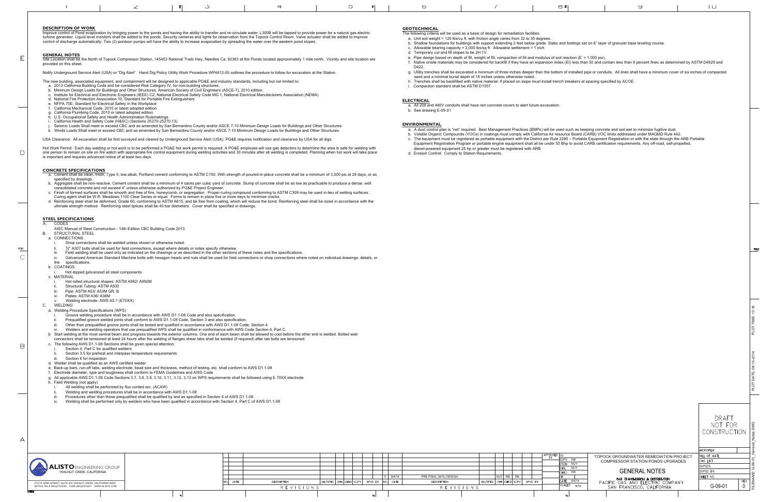|--|

### **DESCRIPTION OF WORK**

Improve control of Pond evaporation by bringing power to the ponds and having the ability to transfer and re-circulate water. L300B will be tapped to provide power for a natural gas electric<br>turbine generator. Liquid level control of discharge automatically. Two (2) pontoon pumps will have the ability to increase evaporation by spreading the water over the western pond slopes.

Site Location shall be the North of Topock Compressor Station, 145453 National Trails Hwy, Needles Ca. 92363 at the Ponds located approximately 1 mile north. Vicinity and site location are provided on this sheet.

- The new building, associated equipment, and containment will be designed to applicable PG&E and industry standards, including but not limited to:
- 
- a. 2013 California Building Code and be considered Risk Category IV, for non-building structures. b. Minimum Design Loads for Buildings and Other Structures. American Society of Civil Engineers (ASCE-7), 2010 edition.
- c. Institute for Electrical and Electronic Engineers (IEEE) C2; National Electrical Safety Code MG 1, National Electrical Manufacturers Association (NEMA)<br>d. National Fire Protection Association 10, Standard for Portable
- 
- e. NFPA 70E; Standard for Electrical Safety in the Workplace
- f. California Mechanical Code, 2010 or latest adopted edition
- g. California Plumbing Code, 2010 or latest adopted edition h. U.S. Occupational Safety and Health Administration Rulemakings
- 
- 
- i. California Health and Safety Code (H&SC) (Sections 25270-25270.13).<br>j. Seismic Loads Shall meet or exceed CBC and as amended by San Bernardino County and/or ASCE 7-10 Minimum Design Loads for Buildings and Other Structu .<br>«. Winds Loads Shall meet or exceed CBC and as amended by San Bernardino County and/or ASCE 7-10 Minimum Design Loads for Buildings and Other Structures.

#### **GENERAL NOTES**

E

 $\Box$ 

FOLD  $\overline{C}$ 

 $\boxminus$ 

 $\forall$ 

Notify Underground Service Alert (USA) or "Dig Alert". Hand Dig Policy Utility Work Procedure WP4412-05 outlines the procedure to follow for excavation at the Station.

Hot Work Permit: Each day welding or hot work is to be performed a PG&E hot work permit is required. A PG&E employee will use gas detectors to determine the area is safe for welding with<br>one person to remain on site on fi is important and requires advanced notice of at least two days.

USA Clearance: All excavation shall be first surveyed and cleared by Underground Service Alert (USA). PG&E requires notification and clearance by USA for all digs.

### **CONCRETE SPECIFICATIONS**

- a. Cement shall be clean, fresh, Type II, low alkali, Portland cement conforming to ASTM C150. With strength of poured-in-place concrete shall be a minimum of 3,000 psi at 28 days, or as<br>specified by drawings.
- b. Aggregate shall be non-reactive. Cement content shall be a minimum of 4 sacks per cubic yard of concrete. Slump of concrete shall be as low as practicable to produce a dense, well
- consolidated concrete and not exceed 4" unless otherwise authorized by PG&E Project Engineer.<br>c. Finish of formed surfaces shall be smooth and free of fins, honeycomb, or segregation. Proper curing compound conforming to
- Curing agent shall be W.R. Meadows 1100 Clear Series or equal. Forms to remain in place five or more days to minimize cracks.<br>d. Reinforcing steel shall be deformed, Grade 60, conforming to ASTM A615, and be free from co

## **STEEL SPECIFICATIONS**

## **CODES**

- The following criteria will be used as a basis of design for remediation facilities.
- a. Unit soil weight = 120 lbs/cu ft. with friction angle varies from 32 to 35 degrees. b. Shallow foundations for buildings with support extending 2 feet below grade. Slabs and
- c. Allowable bearing capacity =  $2,000$  lbs/sq ft. Allowable settlement = 1 inch
- d. Temporary cut and fill slopes to be 2H:1V
- e. Pipe design based on depth of fill, weight of fill, compaction of fill and modulus of soil rea
- f. Native onsite materials may be considered for backfill if they have an expansion index (E
- D422.
- sand and a minimal burial depth of 18 inches unless otherwise noted. h. Trenches shall be backfilled with native material. If placed on slope must install trench br
- i. Compaction standard shall be ASTM D1557.
- 

- AISC Manual of Steel Construction 14th Edition CBC Building Code 2013
- B. STRUCTURAL STEELa. CONNECTIONS
- - Shop connections shall be welded unless shown or otherwise noted.
- ii. $\frac{3}{4}$ " A307 bolts shall be used for field connections, except where details or notes specify otherwise.
- iii. Field welding shall be used only as indicated on the drawings or as described in the other sections of these notes and the specifications.
- Galvanized American Standard Machine bolts with hexagon heads and nuts shall be used for field connections or shop connections where noted on individual drawings, details, or the specifications.

b. COATINGS

## i. Hot dipped galvanized all steel components

- c. MATERIAL
	- i. Hot rolled structural shapes: ASTM A992/ A992M
	- Structural Tubing: ASTM A500
- Pipe: ASTM A53/ A53M GR. B
- Plates: ASTM A36/ A36M
- v. Welding electrode: AWS A5.1 (E70XX)

### C. WELDING

- a. Welding Procedure Specifications (WPS)
- i. Groove welding procedure shall be in accordance with AWS D1.1-08 Code and also specification.
- ii. Prequalified groove welded joints shall conform to AWS D1.1-08 Code, Section 3 and also specification.
- Other than prequalified groove joints shall be tested and qualified in accordance with AWS D1.1-08 Code, Section 4.
- Welders and welding operators that use prequalified WPS shall be qualified in conformance with AWS Code Section 4, Part C.
- b. Start welding at the most central beam and progress towards the exterior columns. One end of each beam shall be allowed to cool before the other end is welded. Bolted web connectors shall be tensioned at least 24 hours after the welding of flanges shear tabs shall be welded (if required) after tab bolts are tensioned.
- c. The following AWS D1.1-08 Sections shall be given special attention:
- 
- Section 4, Part C for qualified welders
- Section 3.5 for preheat and interpass temperature requirements
- Section 6 for inspection
- d. Welder shall be qualified as an AWS certified welder
- e. Back-up bars, run-off tabs, welding electrode, bead size and thickness, method of testing, etc. shall conform to AWS D1.1-08
- f. Electrode diameter, type and toughness shall conform to FEMA Guidelines and AWS Code
- g. All applicable AWS D1.1-08 Code Sections 3.7, 3.8, 3.9, 3.10, 3.11, 3.12, 3.13 on WPS requirements shall be followed using E 70XX electrode

# h. Field Welding (not apply)

- All welding shall be performed by flux corded arc. (ACAW)
- Welding and welding procedures shall be in accordance with AWS D1.1-08
- Procedures other than those prequalified shall be qualified by test as specified in Section 4 of AWS D1.1-08
- Welding shall be performed only by welders who have been qualified in accordance with Section 4, Part C of AWS D1.1-08

## **GEOTECHNICAL**

| $\circ$                                                                                                                                                                                                                                                                                                                                                                                                                                                                                                                                                                  | $\prime$ | S &                                                                                                                                                                                                                                                                                                                                                                                                                                                                                                                                                                                                                                                                                                                                                                                                    | У | $\cup$ |      |
|--------------------------------------------------------------------------------------------------------------------------------------------------------------------------------------------------------------------------------------------------------------------------------------------------------------------------------------------------------------------------------------------------------------------------------------------------------------------------------------------------------------------------------------------------------------------------|----------|--------------------------------------------------------------------------------------------------------------------------------------------------------------------------------------------------------------------------------------------------------------------------------------------------------------------------------------------------------------------------------------------------------------------------------------------------------------------------------------------------------------------------------------------------------------------------------------------------------------------------------------------------------------------------------------------------------------------------------------------------------------------------------------------------------|---|--------|------|
| <b>OTECHNICAL</b><br>following criteria will be used as a basis of design for remediation facilities.<br>a. Unit soil weight = 120 lbs/cu ft. with friction angle varies from 32 to 35 degrees.<br>c. Allowable bearing capacity = 2,000 lbs/sq ft. Allowable settlement = 1 inch<br>d. Temporary cut and fill slopes to be 2H:1V<br>D422.<br>sand and a minimal burial depth of 18 inches unless otherwise noted.<br>i. Compaction standard shall be ASTM D1557.<br>ECTRICAL<br>a. All 208 and 480V conduits shall have red concrete covers to alert future excavation. |          | b. Shallow foundations for buildings with support extending 2 feet below grade. Slabs and footings set on 6" layer of granular base leveling course.<br>e. Pipe design based on depth of fill, weight of fill, compaction of fill and modulus of soil reaction (E' = 1,000 psi).<br>f. Native onsite materials may be considered for backfill if they have an expansion index (EI) less than 50 and contain less than 8 percent fines as determined by ASTM D4829 and<br>g. Utility trenches shall be excavated a minimum of three inches deeper than the bottom of installed pipe or conduits. All lines shall have a minimum cover of six inches of compacted<br>h. Trenches shall be backfilled with native material. If placed on slope must install trench breakers at spacing specified by ACOE. |   |        |      |
| b. See drawing E-09-01<br>VIRONMENTAL<br>diesel-powered equipment 25 hp or greater must be registered with ARB.<br>d. Erosion Control: Comply to Station Requirements.                                                                                                                                                                                                                                                                                                                                                                                                   |          | a. A dust control plan is "not" required. Best Management Practices (BMPs) will be used such as keeping concrete and soil wet to minimize fugitive dust.<br>b. Volatile Organic Compounds (VOCs) in coatings must comply with California Air resource Board (CARB) VOC limits addressed under MAQMD Rule 442.<br>c. The equipment must be registered as portable equipment with the District per Rule 2280 – Portable Equipment Registration or with the state through the ARB Portable<br>Equipment Registration Program or portable engine equipment shall all be under 50 Bhp to avoid CARB certification requirements. Any off-road, self-propelled,                                                                                                                                               |   |        |      |
|                                                                                                                                                                                                                                                                                                                                                                                                                                                                                                                                                                          |          |                                                                                                                                                                                                                                                                                                                                                                                                                                                                                                                                                                                                                                                                                                                                                                                                        |   |        | FOL  |
|                                                                                                                                                                                                                                                                                                                                                                                                                                                                                                                                                                          |          |                                                                                                                                                                                                                                                                                                                                                                                                                                                                                                                                                                                                                                                                                                                                                                                                        |   |        | 3:18 |
|                                                                                                                                                                                                                                                                                                                                                                                                                                                                                                                                                                          |          |                                                                                                                                                                                                                                                                                                                                                                                                                                                                                                                                                                                                                                                                                                                                                                                                        |   |        |      |

|                           |                                                                                                  | DRAFT<br>NOT FOR<br>CONSTRUCTION | General_Notes.DWG |
|---------------------------|--------------------------------------------------------------------------------------------------|----------------------------------|-------------------|
|                           |                                                                                                  | <b>MICROFILM</b>                 |                   |
| <b>RB</b>                 | TOPOCK GROUNDWATER REMEDIATION PROJECT                                                           | BILL OF MATL                     |                   |
| MJY                       | COMPRESSOR STATION PONDS UPGRADES                                                                | <b>DWG LIST</b>                  | $G - 09 - 01$     |
| M.JY                      |                                                                                                  | <b>SUPSDS</b>                    |                   |
| <b>RB</b>                 | <b>GENERAL NOTES</b>                                                                             | SUPSD BY                         |                   |
|                           |                                                                                                  | SHEET NO.                        |                   |
| 9/8/14<br>Έ<br><b>NTS</b> | GAS TRANSMISSION & DISTRIBUTION<br>PACIFIC GAS AND ELECTRIC COMPANY<br>SAN FRANCISCO, CALIFORNIA | REV<br>G-09-01<br>N              | FILENAME:         |
|                           |                                                                                                  |                                  |                   |

# **ELECTRICAL**

### **ENVIRONMENTAL**

- a. A dust control plan is "not" required. Best Management Practices (BMPs) will be used such as keeping concrete and soil wet to minimize fugitive dust. b. Volatile Organic Compounds (VOCs) in coatings must comply with California Air resource c. The equipment must be registered as portable equipment with the District per Rule 2280
- Equipment Registration Program or portable engine equipment shall all be under 50 Bhp diesel-powered equipment 25 hp or greater must be registered with ARB.
- d. Erosion Control: Comply to Station Requirements.

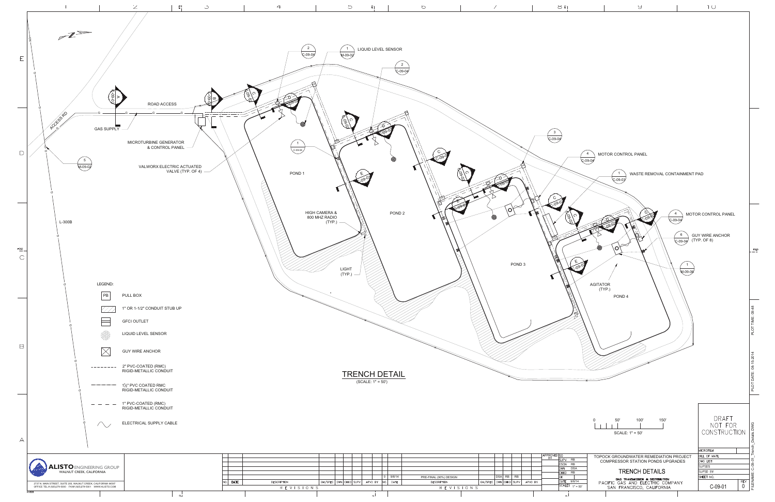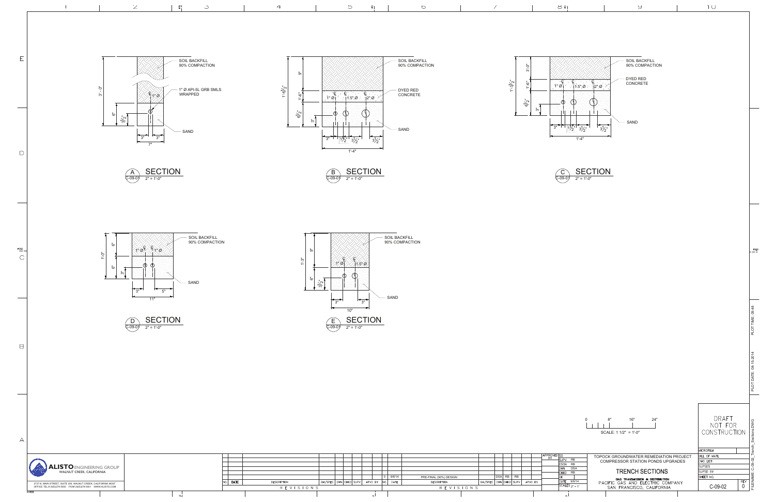



 $10$ 

 $rac{FOLD}{1}$ 







 $\mathsf D$ 

 $rac{FOLD}{F}$ 

 $\mathsf C$ 

 $\boxminus$ 

 $\forall$ 









1'-4"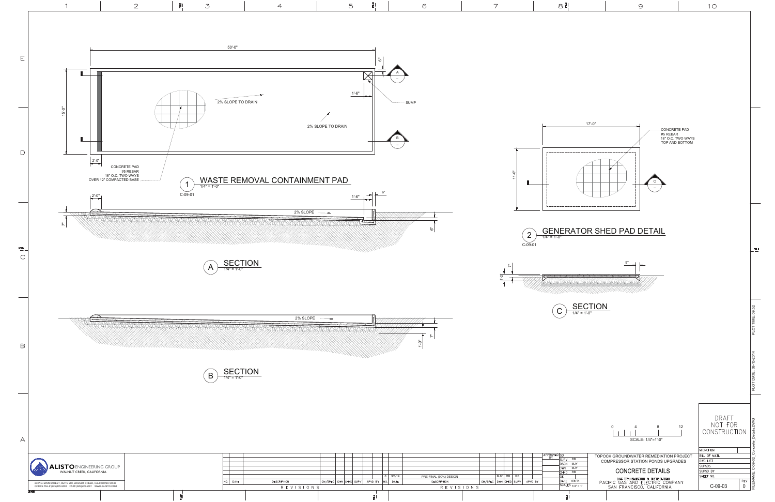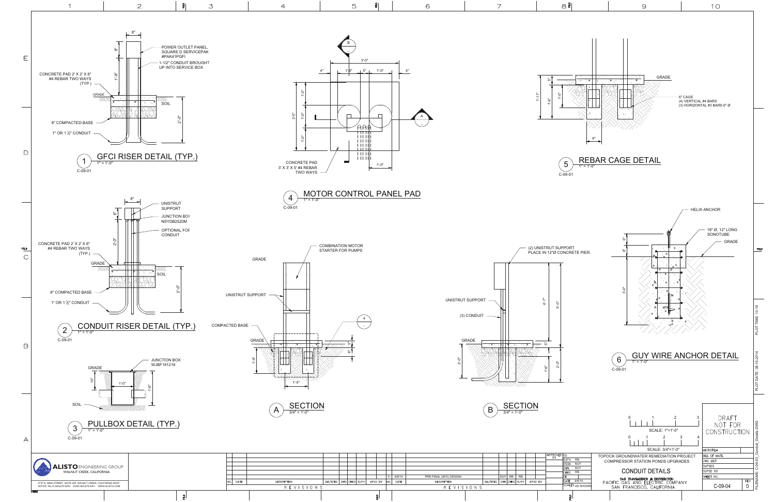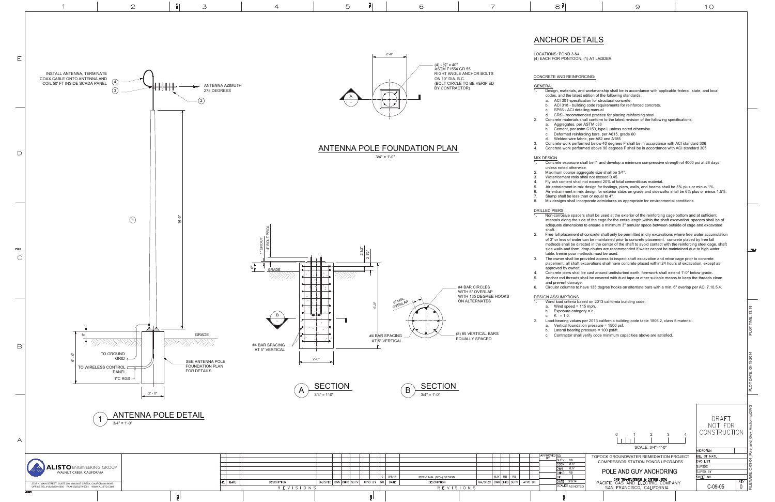|                | 8 g                                                                                                                                                                                                                                                                                                                            | 9                                                                                                                                                                                                                                                                                                                     |   | 1 O                              |                                              |  |  |  |  |
|----------------|--------------------------------------------------------------------------------------------------------------------------------------------------------------------------------------------------------------------------------------------------------------------------------------------------------------------------------|-----------------------------------------------------------------------------------------------------------------------------------------------------------------------------------------------------------------------------------------------------------------------------------------------------------------------|---|----------------------------------|----------------------------------------------|--|--|--|--|
|                |                                                                                                                                                                                                                                                                                                                                |                                                                                                                                                                                                                                                                                                                       |   |                                  |                                              |  |  |  |  |
|                |                                                                                                                                                                                                                                                                                                                                |                                                                                                                                                                                                                                                                                                                       |   |                                  |                                              |  |  |  |  |
|                | ANCHOR DETAILS                                                                                                                                                                                                                                                                                                                 |                                                                                                                                                                                                                                                                                                                       |   |                                  |                                              |  |  |  |  |
|                | LOCATIONS: POND 3 &4                                                                                                                                                                                                                                                                                                           |                                                                                                                                                                                                                                                                                                                       |   |                                  |                                              |  |  |  |  |
|                | (4) EACH FOR PONTOON, (1) AT LADDER                                                                                                                                                                                                                                                                                            |                                                                                                                                                                                                                                                                                                                       |   |                                  |                                              |  |  |  |  |
|                | CONCRETE AND REINFORCING:                                                                                                                                                                                                                                                                                                      |                                                                                                                                                                                                                                                                                                                       |   |                                  |                                              |  |  |  |  |
| GENERAL        |                                                                                                                                                                                                                                                                                                                                |                                                                                                                                                                                                                                                                                                                       |   |                                  |                                              |  |  |  |  |
| 1.             | codes, and the latest edition of the following standards:                                                                                                                                                                                                                                                                      | Design, materials, and workmanship shall be in accordance with applicable federal, state, and local                                                                                                                                                                                                                   |   |                                  |                                              |  |  |  |  |
|                | ACI 301 specification for structural concrete.<br>a.<br>b.                                                                                                                                                                                                                                                                     | ACI 318 - building code requirements for reinforced concrete.                                                                                                                                                                                                                                                         |   |                                  |                                              |  |  |  |  |
| 2.             | SP66 - ACI detailing manual<br>c.<br>d.                                                                                                                                                                                                                                                                                        | CRSI- recommended practice for placing reinforcing steel.<br>Concrete materials shall conform to the latest revision of the following specifications:                                                                                                                                                                 |   |                                  |                                              |  |  |  |  |
|                | Aggregates, per ASTM c33<br>a.<br>b.                                                                                                                                                                                                                                                                                           | Cement, per astm C150, type i, unless noted otherwise                                                                                                                                                                                                                                                                 |   |                                  |                                              |  |  |  |  |
|                | Deformed reinforcing bars, per A615, grade 60<br>c.<br>Welded wire fabric, per A82 and A185<br>d.                                                                                                                                                                                                                              |                                                                                                                                                                                                                                                                                                                       |   |                                  |                                              |  |  |  |  |
| 3.<br>4.       |                                                                                                                                                                                                                                                                                                                                | Concrete work performed below 40 degrees F shall be in accordance with ACI standard 306<br>Concrete work performed above 90 degrees F shall be in accordance with ACI standard 305                                                                                                                                    |   |                                  |                                              |  |  |  |  |
|                | MIX DESIGN                                                                                                                                                                                                                                                                                                                     |                                                                                                                                                                                                                                                                                                                       |   |                                  |                                              |  |  |  |  |
| 1.             | unless noted otherwise.                                                                                                                                                                                                                                                                                                        | Concrete exposure shall be f1 and develop a minimum compressive strength of 4000 psi at 28 days,                                                                                                                                                                                                                      |   |                                  |                                              |  |  |  |  |
| 2.<br>3.<br>4. | Maximum course aggregate size shall be 3/4".<br>Water/cement ratio shall not exceed 0.45.                                                                                                                                                                                                                                      | Fly ash content shall not exceed 20% of total cementitious material.                                                                                                                                                                                                                                                  |   |                                  |                                              |  |  |  |  |
| 5.<br>6.       |                                                                                                                                                                                                                                                                                                                                | Air entrainment in mix design for footings, piers, walls, and beams shall be 5% plus or minus 1%.<br>Air entrainment in mix design for exterior slabs on grade and sidewalks shall be 6% plus or minus 1.5%.                                                                                                          |   |                                  |                                              |  |  |  |  |
| 7.<br>8.       | Slump shall be less than or equal to 4".                                                                                                                                                                                                                                                                                       | Mix designs shall incorporate admixtures as appropriate for environmental conditions.                                                                                                                                                                                                                                 |   |                                  |                                              |  |  |  |  |
|                | DRILLED PIERS                                                                                                                                                                                                                                                                                                                  |                                                                                                                                                                                                                                                                                                                       |   |                                  |                                              |  |  |  |  |
| 1.             |                                                                                                                                                                                                                                                                                                                                | Non-corrosive spacers shall be used at the exterior of the reinforcing cage bottom and at sufficient<br>intervals along the side of the cage for the entire length within the shaft excavation. spacers shall be of<br>adequate dimensions to ensure a minimum 3" annular space between outside of cage and excavated |   |                                  |                                              |  |  |  |  |
| 2.             | shaft.                                                                                                                                                                                                                                                                                                                         |                                                                                                                                                                                                                                                                                                                       |   |                                  |                                              |  |  |  |  |
|                | Free fall placement of concrete shall only be permitted in dry excavations where free water accumulation<br>of 3" or less of water can be maintained prior to concrete placement. concrete placed by free fall<br>methods shall be directed in the center of the shaft to avoid contact with the reinforcing steel cage, shaft |                                                                                                                                                                                                                                                                                                                       |   |                                  |                                              |  |  |  |  |
|                | side walls and form. drop chutes are recommended if water cannot be maintained due to high water<br>FOLD<br>table, tremie pour methods must be used.                                                                                                                                                                           |                                                                                                                                                                                                                                                                                                                       |   |                                  |                                              |  |  |  |  |
| 3.             |                                                                                                                                                                                                                                                                                                                                | The owner shall be provided access to inspect shaft excavation and rebar cage prior to concrete<br>placement. all shaft excavations shall have concrete placed within 24 hours of excavation, except as                                                                                                               |   |                                  |                                              |  |  |  |  |
| 4.<br>5.       | approved by owner.                                                                                                                                                                                                                                                                                                             | Concrete piers shall be cast around undisturbed earth. formwork shall extend 1'-0" below grade.<br>Anchor rod threads shall be covered with duct tape or other suitable means to keep the threads clean                                                                                                               |   |                                  |                                              |  |  |  |  |
| 6.             | and prevent damage.                                                                                                                                                                                                                                                                                                            | Circular columns to have 135 degree hooks on alternate bars with a min. 6" overlap per ACI 7.10.5.4.                                                                                                                                                                                                                  |   |                                  |                                              |  |  |  |  |
|                | <b>DESIGN ASSUMPTIONS</b>                                                                                                                                                                                                                                                                                                      |                                                                                                                                                                                                                                                                                                                       |   |                                  |                                              |  |  |  |  |
| 1.             | Wind load criteria based on 2013 california building code:<br>Wind speed $= 115$ mph.<br>a.                                                                                                                                                                                                                                    |                                                                                                                                                                                                                                                                                                                       |   |                                  |                                              |  |  |  |  |
| 2.             | Exposure category = c.<br>b.<br>$K = 1.0$ .<br>c.                                                                                                                                                                                                                                                                              | Load-bearing values per 2013 california building code table 1806.2, class 5 material.                                                                                                                                                                                                                                 |   |                                  |                                              |  |  |  |  |
|                | Vertical foundation pressure = 1500 psf.<br>a.<br>Lateral bearing pressure = 100 psf/ft.<br>b.                                                                                                                                                                                                                                 |                                                                                                                                                                                                                                                                                                                       |   |                                  | PLOT TIME: 13:18                             |  |  |  |  |
|                | c.                                                                                                                                                                                                                                                                                                                             | Contractor shall verify code minimum capacities above are satisfied.                                                                                                                                                                                                                                                  |   |                                  |                                              |  |  |  |  |
|                |                                                                                                                                                                                                                                                                                                                                |                                                                                                                                                                                                                                                                                                                       |   |                                  |                                              |  |  |  |  |
|                |                                                                                                                                                                                                                                                                                                                                |                                                                                                                                                                                                                                                                                                                       |   |                                  |                                              |  |  |  |  |
|                |                                                                                                                                                                                                                                                                                                                                |                                                                                                                                                                                                                                                                                                                       |   |                                  |                                              |  |  |  |  |
|                |                                                                                                                                                                                                                                                                                                                                |                                                                                                                                                                                                                                                                                                                       |   |                                  | PLOT DATE: 08-15-2014                        |  |  |  |  |
|                |                                                                                                                                                                                                                                                                                                                                |                                                                                                                                                                                                                                                                                                                       |   |                                  |                                              |  |  |  |  |
|                |                                                                                                                                                                                                                                                                                                                                |                                                                                                                                                                                                                                                                                                                       |   |                                  |                                              |  |  |  |  |
|                |                                                                                                                                                                                                                                                                                                                                |                                                                                                                                                                                                                                                                                                                       |   |                                  |                                              |  |  |  |  |
|                |                                                                                                                                                                                                                                                                                                                                |                                                                                                                                                                                                                                                                                                                       |   | DRAFT<br>NOT FOR                 |                                              |  |  |  |  |
|                |                                                                                                                                                                                                                                                                                                                                | 3<br>0<br>2                                                                                                                                                                                                                                                                                                           | 4 | CONSTRUCTION                     | FILENAME: C-09-04_Pole_and_Guy_Anchoring.DWG |  |  |  |  |
|                |                                                                                                                                                                                                                                                                                                                                | SCALE: 3/4"=1'-0"                                                                                                                                                                                                                                                                                                     |   |                                  |                                              |  |  |  |  |
|                | APPROVED SO<br><b>SUPV</b><br>RB                                                                                                                                                                                                                                                                                               | TOPOCK GROUNDWATER REMEDIATION PROJECT                                                                                                                                                                                                                                                                                |   | <b>MICROFILM</b><br>BILL OF MATL |                                              |  |  |  |  |
|                | DSGN<br>MJY<br>MJY<br>DWN                                                                                                                                                                                                                                                                                                      | <b>COMPRESSOR STATION PONDS UPGRADES</b>                                                                                                                                                                                                                                                                              |   | DWG LIST<br><b>SUPSDS</b>        |                                              |  |  |  |  |
|                | CHKD<br><b>RB</b><br>OK<br>DATE<br>9/8/14                                                                                                                                                                                                                                                                                      | POLE AND GUY ANCHORING<br>GAS TRANSMISSION & DISTRIBUTION                                                                                                                                                                                                                                                             |   | SUPSD BY<br>SHEET NO.<br>REV     |                                              |  |  |  |  |
|                | SCALES AS NOTED                                                                                                                                                                                                                                                                                                                | PACIFIC GAS AND ELECTRIC COMPANY<br>SAN FRANCISCO, CALIFORNIA                                                                                                                                                                                                                                                         |   | C-09-05<br>0                     |                                              |  |  |  |  |
|                |                                                                                                                                                                                                                                                                                                                                |                                                                                                                                                                                                                                                                                                                       |   |                                  |                                              |  |  |  |  |

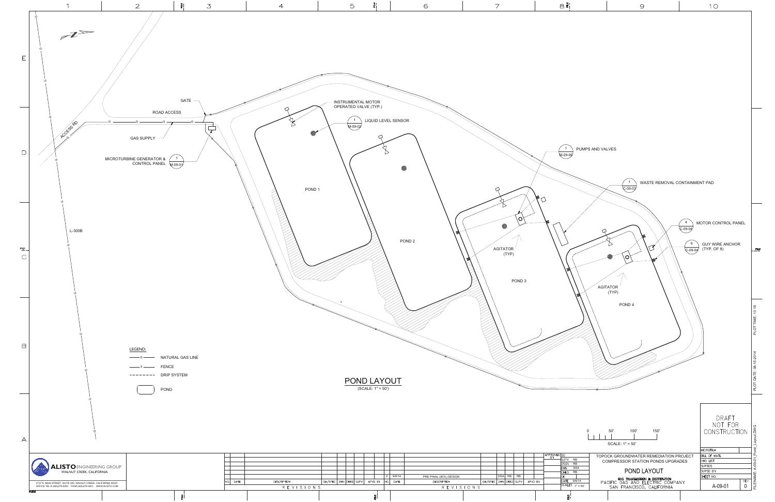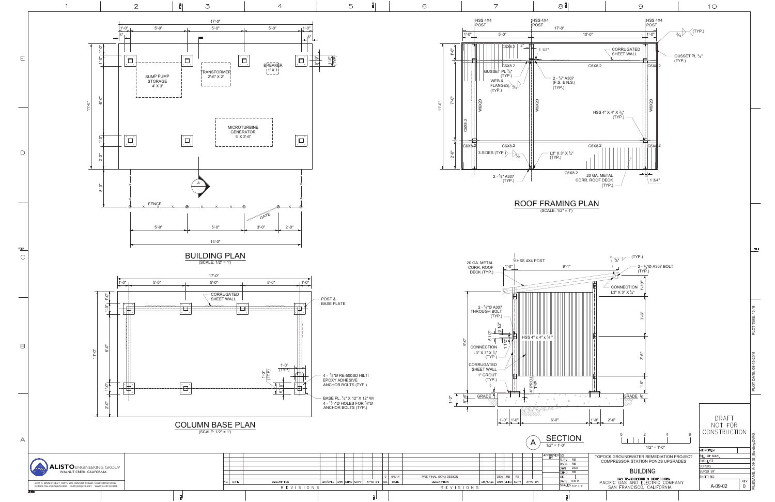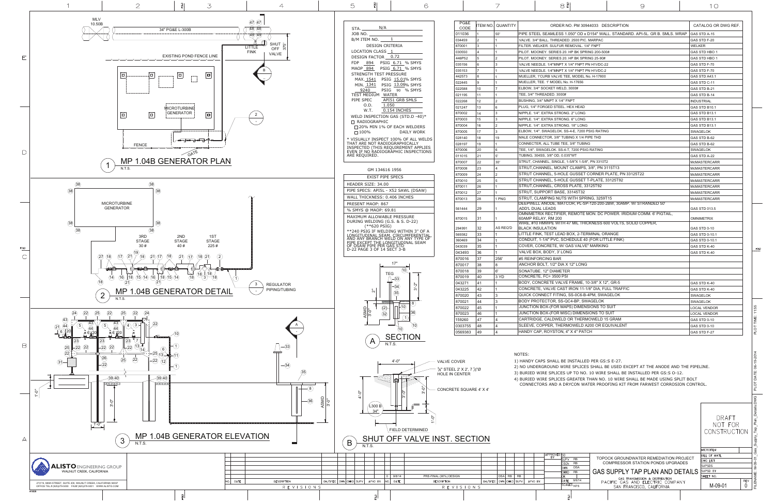

|                                     | OR THERMOWELD 15 GRAM                                                                                                                                                                                                                                                  | <b>GAS STD 0-10</b>                                  | PLOT TIME                                         |
|-------------------------------------|------------------------------------------------------------------------------------------------------------------------------------------------------------------------------------------------------------------------------------------------------------------------|------------------------------------------------------|---------------------------------------------------|
|                                     | <b>IOWELD A200 OR EQUIVALENT</b>                                                                                                                                                                                                                                       | <b>GAS STD 0-10</b>                                  |                                                   |
| " X 4" PATCH                        |                                                                                                                                                                                                                                                                        | GAS STD F-27                                         |                                                   |
|                                     | INSTALLED PER GS:S E-27.<br>E SPLICES SHALL BE USED EXCEPT AT THE ANODE AND THE PIPELINE.<br>JP TO NO. 10 WIRE SHALL BE INSTALLED PER GS:S O-12.<br>SREATER THAN NO. 10 WIRE SHALL BE MADE USING SPLIT BOLT<br>YCON WATER PROOFING KIT FROM FARWEST CORROSION CONTROL. |                                                      | PLOT DATE: 06-19-2014                             |
|                                     |                                                                                                                                                                                                                                                                        | DRAFT<br>NOT FOR<br>CONSTRUCTION<br><b>MICROFILM</b> | FILENAME: M-09-01_Gas_Supply_Tap_Plan_Details.DWG |
| <b>RB</b><br><b>RB</b>              | TOPOCK GROUNDWATER REMEDIATION PROJECT<br><b>COMPRESSOR STATION PONDS UPGRADES</b>                                                                                                                                                                                     | <b>BILL OF MATL</b><br>DWG LIST<br><b>SUPSDS</b>     |                                                   |
| <b>DSA</b><br><b>RB</b>             | GAS SUPPLY TAP PLAN AND DETAILS                                                                                                                                                                                                                                        | SUPSD BY                                             |                                                   |
| 9/8/14                              | GAS TRANSMISSION & DISTRIBUTION                                                                                                                                                                                                                                        | SHEET NO.<br><b>REV</b>                              |                                                   |
| $\overline{\text{ES}}_{\text{NTS}}$ | PACIFIC GAS AND ELECTRIC COMPANY<br>SAN FRANCISCO, CALIFORNIA                                                                                                                                                                                                          | M-09-01<br>0                                         |                                                   |
| 킔                                   |                                                                                                                                                                                                                                                                        |                                                      |                                                   |

| INLADED. ZUUU FIU. IVIANFAU                                     | סב-ז טוט טו <i>ש</i> |
|-----------------------------------------------------------------|----------------------|
| JLFUR REMOVAL. 1/4" FNPT                                        | <b>WELKER</b>        |
| RIES 20. HP BK SPRING 200-500#                                  | GAS STD HBO 1        |
| RIES 20. HP BK SPRING 25-90#                                    | GAS STD HBO 1        |
| MNPT X 1/4" FNPT PN H1VDC-22                                    | GAS STD F-70         |
| MNPT X 1/4" FNPT PN H1VDC-2                                     | GAS STD F-70         |
| ALVE TEE, MODEL No. H-17800                                     | GAS STD A43.1        |
| <b>ODEL No. H-17656</b>                                         | GAS STD C-11         |
| T WELD, 3000#                                                   | GAS STD B-21         |
| 0.3000#                                                         | GAS STD B-14         |
| X 1/4" FNPT                                                     | <b>INDUSTRIAL</b>    |
| STEEL. HEX HEAD                                                 | GAS STD B10.1        |
| STRONG. 2" LONG                                                 | <b>GAS STD B13.1</b> |
| STRONG. 6" LONG                                                 | GAS STD B13.1        |
| STRONG. 18" LONG                                                | <b>GAS STD B13.1</b> |
| ELOK. SS-4-E, 7200 PSIG RATING                                  | <b>SWAGELOK</b>      |
| 3/8" TUBING X 1/4 PIPE THD                                      | GAS STD B-62         |
| JBE TEE, 3/8" TUBING                                            | GAS STD B-62         |
| K. SS-4-T, 7200 PSIG RATING                                     | SWAGELOK             |
| OD, 0.035"WT                                                    | GAS STD A-22         |
| INGLE, 1-5/8"X 1-5/8", PN 3310T2                                | <b>McMASTERCARR</b>  |
| MOUNT CLAMPS, 3/8", PN 3115T13                                  | <b>McMASTERCARR</b>  |
| 5-HOLE GUSSET CORNER PLATE, PN 33125T22                         | McMASTERCARR         |
| 5-HOLE GUSSET T-PLATE, 33125T92                                 | <b>McMASTERCARR</b>  |
| CROSS PLATE, 33125T92                                           | <b>McMASTERCARR</b>  |
| BASE, 33145T32                                                  | <b>McMASTERCARR</b>  |
| <b>SNUTS WITH SPRING, 3259T15</b>                               | <b>McMASTERCARR</b>  |
| E, MATCOR, PL-SP-120-200-2BW, 30AMP. W/ STRANDED 50'            |                      |
|                                                                 | GAS STD 013.5        |
| TIFIER, REMOTE MON. DC POWER. IRIDIUM COMM. 6' PIGTAIL,<br>1200 | <b>OMNIMETRIX</b>    |
| : WITH 47 MIL THICKNESS 600 VOLTS, SOLID COPPER,                |                      |
| N                                                               | <b>GAS STD 0-10</b>  |
| LEAD BOX, 2-TERMINAL ORANGE                                     | GAS STD 0-10.1       |
| VC, SCHEDULE 40 (FOR LITTLE FINK)                               | GAS STD 0-10.1       |
| <b>E. W/ GAS VALVE" MARKING</b>                                 | GAS STD K-40         |
| ', 3' LONG                                                      | GAS STD K-40         |
| BAR                                                             |                      |
| 2" DIA X 12" LONG                                               |                      |
| AMETER                                                          |                      |
| 500 PSI                                                         |                      |
| VALVE FRAME, 10-3/8" X 12", GR-5                                | GAS STD K-40         |
| E CAST IRON 11-1/8" DIA, FULL TRAFFIC                           | GAS STD K-40         |
| FITING, SS-0C6-B-4PM, SWAGELOK                                  | SWAGELOK             |
| R, SS-QC4-BP, SWAGELOK                                          | SWAGELOK             |
| OR MAPS) DIMENSIONS TO SUIT                                     | <b>LOCAL VENDOR</b>  |
| OR MISC) DIMENSIONS TO SUIT                                     | <b>LOCAL VENDOR</b>  |
| WELD OR THERMOWELD 15 GRAM                                      | <b>GAS STD 0-10</b>  |
| THERMOWELD A200 OR EQUIVALENT                                   | <b>GAS STD 0-10</b>  |
| STON, 4" X 4" PATCH                                             | GAS STD F-27         |
|                                                                 |                      |

 $FOLD$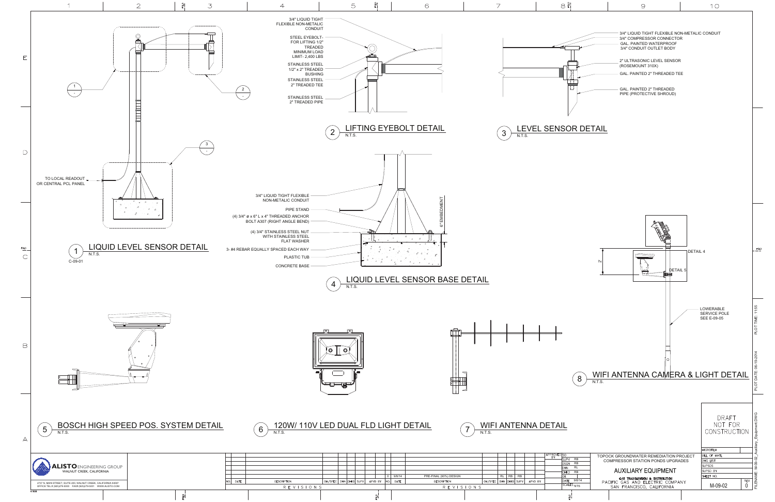

|  | $\sim$ |  |
|--|--------|--|
|  |        |  |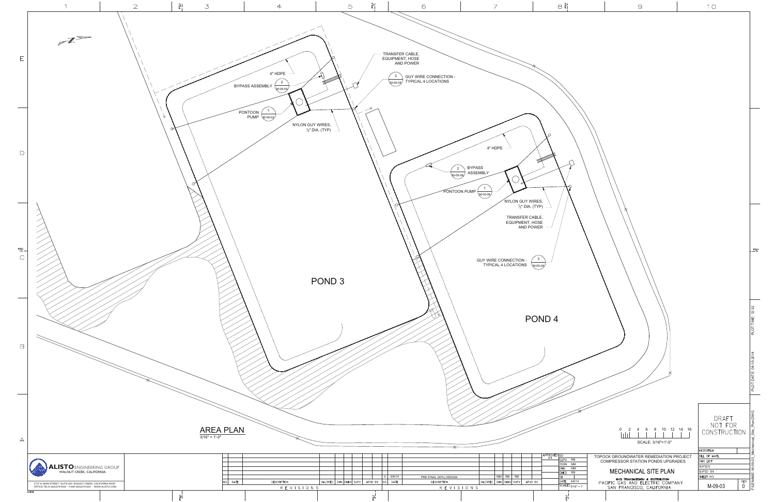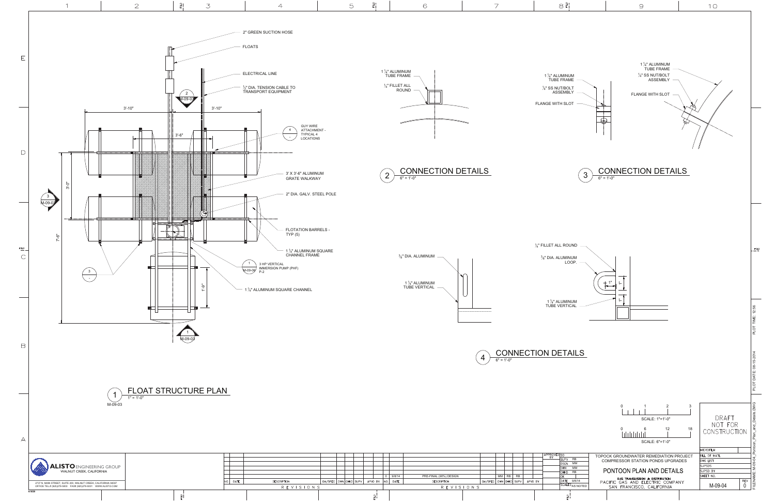

 $\frac{9}{6}$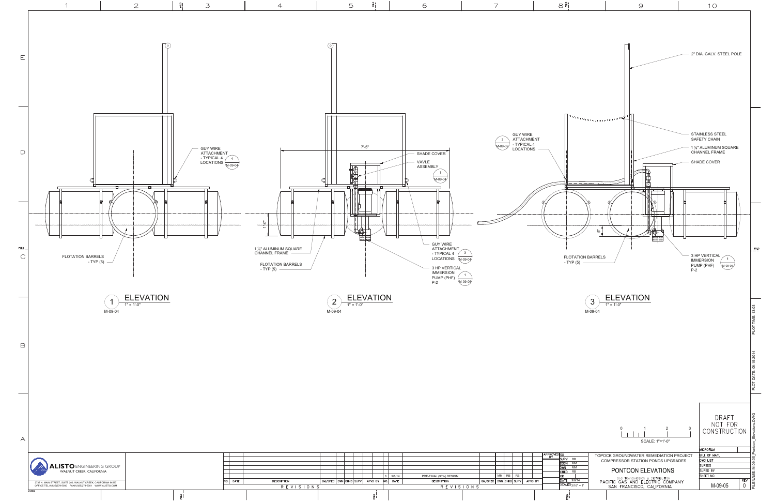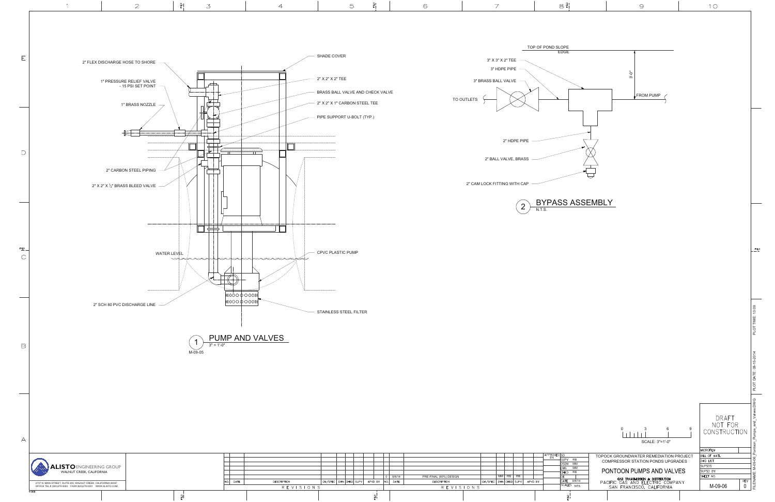

|  |  |  | 2737 N. MAIN STREET, SUITE 200, WALNUT CREEK, CALIFORN |  |
|--|--|--|--------------------------------------------------------|--|
|  |  |  | OFFICE TEL.# (925)279-5000 FAX# (925)279-5001 WWW.ALIS |  |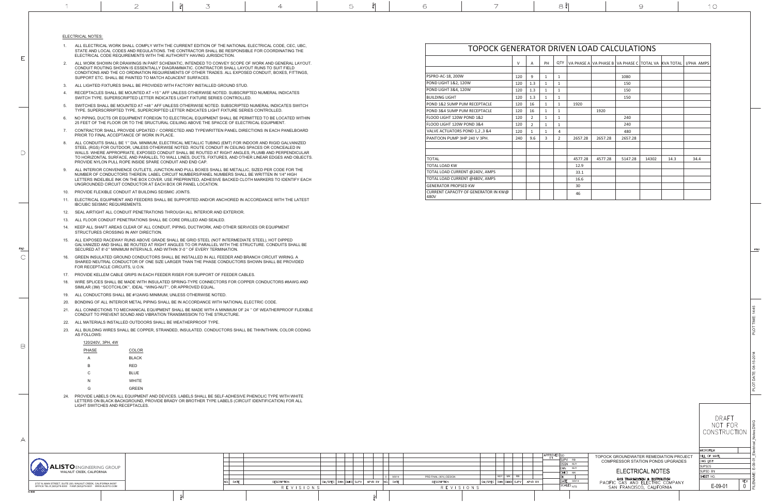- 1. ALL ELECTRICAL WORK SHALL COMPLY WITH THE CURRENT EDITION OF THE NATIONAL ELECTRICAL CODE, CEC, UBC, STATE AND LOCAL CODES AND REGULATIONS. THE CONTRACTOR SHALL BE RESPONSIBLE FOR COORDINATING THEELECTRICAL CODE REQUIREMENTS WITH THE AUTHORITY HAVING JURISDICTION.
- 2. ALL WORK SHOWN OR DRAWINGS IN PART SCHEMATIC, INTENDED TO CONVEY SCOPE OF WORK AND GENERAL LAYOUT. CONDUIT ROUTING SHOWN IS ESSENTIALLY DIAGRAMMATIC. CONTRACTOR SHALL LAYOUT RUNS TO SUIT FIELD CONDITIONS AND THE CO ORDINATION REQUIREMENTS OF OTHER TRADES. ALL EXPOSED CONDUIT, BOXES, FITTINGS, SUPPORT ETC. SHALL BE PAINTED TO MATCH ADJACENT SURFACES.
- 3. ALL LIGHTED FIXTURES SHALL BE PROVIDED WITH FACTORY INSTALLED GROUND STUD.
- 4. RECEPTACLES SHALL BE MOUNTED AT +15 " AFF UNLESS OTHERWISE NOTED. SUBSCRIPTED NUMERAL INDICATESSWITCH TYPE. SUPERSCRIPTED LETTER INDICATES LIGHT FIXTURE SERIES CONTROLLED.
- 5. SWITCHES SHALL BE MOUNTED AT +48" AFF UNLESS OTHERWISE NOTED. SUBSCRIPTED NUMERAL INDICATES SWITCH TYPE. SUPERSCRRIPTED TYPE, SUPERCRIPTED LETTER INDICATES LIGHT FIXTURE SERIES CONTROLLED.
- 6. NO PIPING, DUCTS OR EQUIPMENT FOREIGN TO ELECTRICAL EQUIPMENT SHALL BE PERMITTED TO BE LOCATED WITHIN 25 FEET OF THE FLOOR OR TO THE SRUCTURAL CEILIING ABOVE THE SPACCE OF ELECTRICAL EQUIPMENT.
- 7. CONTRACTOR SHALL PROVIDE UPDATED / CORRECTED AND TYPEWRITTEN PANEL DIRECTIONS IN EACH PANELBOARD PRIOR TO FINAL ACCEPTANCE OF WORK IN PLACE
- 8. ALL CONDUITS SHALL BE 1" DIA. MINIMUM, ELECTRICAL METALLIC TUBING (EMT) FOR INDOOR AND RIGID GALVANIZED STEEL (RGS) FOR OUTDOOR, UNLESS OTHERWISE NOTED. ROUTE CONDUIT IN CEILING SPACES OR CONCEALED IN WALLS. WHERE APPROPRIATE, EXPOSED CONDUIT SHALL BE ROUTED AT RIGHT ANGLES, PLUMB AND PERPENDICULAR TO HORIZONTAL SURFACE, AND PARALLEL TO WALL LINES, DUCTS, FIXTURES, AND OTHER LINEAR EDGES AND OBJECTS. PROVIDE NYLON PULL ROPE INSIDE SPARE CONDUIT AND END CAP.
- 9. ALL INTERIOR CONVENIENCE OUTLETS, JUNCTION AND PULL BOXES SHALL BE METALLIC, SIZED PER CODE FOR THE NUMBER OF CONDUCTORS THEREIN. LABEL CIRCUIT NUMBERS/PANEL NUMBERS SHALL BE WRITTEN IN 1/4" HIGH LETTERS INDELIBLE INK ON THE BOX COVER. USE PREPRINTED, ADHESIVE BACKED CLOTH MARKERS TO IDENTIFY EACH UNGROUNDED CIRCUIT CONDUCTOR AT EACH BOX OR PANEL LOCATION.
- 10. PROVIDE FLEXIBLE CONDUIT AT BUILDING SEISMIC JOINTS.
- 11. ELECTRICAL EQUIPMENT AND FEEDERS SHALL BE SUPPORTED AND/OR ANCHORED IN ACCORDANCE WITH THE LATESTIBC/UBC SEISMIC REQUIREMENTS.
- 12. SEAL AIRTIGHT ALL CONDUIT PENETRATIONS THROUGH ALL INTERIOR AND EXTERIOR.
- 13. ALL FLOOR CONDUIT PENETRATIONS SHALL BE CORE DRILLED AND SEALED.
- 14. KEEP ALL SHAFT AREAS CLEAR OF ALL CONDUIT, PIPING, DUCTWORK, AND OTHER SERVICES OR EQUIPMENT STRUCTURES CROSSING IN ANY DIRECTION.
- 15. ALL EXPOSED RACEWAY RUNS ABOVE GRADE SHALL BE GRID STEEL (NOT INTERMEDIATE STEEL), HOT DIPPED GALVANIZED AND SHALL BE ROUTED AT RIGHT ANGLES TO OR PARALLEL WITH THE STRUCTURE. CONDUITS SHALL BESECURED AT 8'-0" MINIMUM INTERVALS, AND WITHIN 3'-0" OF EVERY TERMINATION.
- 16. GREEN INSULATED GROUND CONDUCTORS SHALL BE INSTALLED IN ALL FEEDER AND BRANCH CIRCUIT WIRING. A SHARED NEUTRAL CONDUCTOR OF ONE SIZE LARGER THAN THE PHASE CONDUCTORS SHOWN SHALL BE PROVIDED FOR RECEPTACLE CIRCUITS, LLO N.
- 17. PROVIDE KELLEM CABLE GRIPS IN EACH FEEDER RISER FOR SUPPORT OF FEEDER CABLES.
- 18. WIRE SPLICES SHALL BE MADE WITH INSULATED SPRING-TYPE CONNECTORS FOR COPPER CONDUCTORS #8AWG AND SIMILAR (3M) "SCOTCHLOK", IDEAL "WING-NUT", OR APPROVED EQUAL.
- 19. ALL CONDUCTORS SHALL BE #12AWG MINIMUM, UNLESS OTHERWISE NOTED.
- 20. BONDING OF ALL INTERIOR METAL PIPING SHALL BE IN ACCORDANCE WITH NATIONAL ELECTRIC CODE.
- 21. ALL CONNECTIONS TO MECHANICAL EQUIPMENT SHALL BE MADE WITH A MINIMUM OF 24 " OF WEATHERPROOF FLEXIBLECONDUIT TO PREVENT SOUND AND VIBRATION TRANSMISSION TO THE STRUCTURE.
- 22. ALL MATERIALS INSTALLED OUTDOORS SHALL BE WEATHERPROOF TYPE.
- 23. ALL BUILDING WIRES SHALL BE COPPER, STRANDED, INSULATED. CONDUCTORS SHALL BE THHN/THWN, COLOR CODING AS FOLLOWS:

**A MISSION CONSULTANT CONTRACT CONTRACT AND CONTRACT AND A CONTRACT CONTRACT CONTRACT CONTRACT CONTRACT AND CONTRACT CONTRACT CONTRACT CONTRACT CONTRACT CONTRACT CONTRACT CONTRACT CONTRACT CONTRACT CONTRACT CONTRACT CONTR** E-09-01 OK <u>J</u><br>DATE 9/8/14 SCALES<sub>NTS</sub> TOPOCK GROUNDWATER REMEDIATION PROJECT COMPRESSOR STATION PONDS UPGRADES

## 120/240V, 3PH, 4W

| <b>PHASE</b> | COLOR        |
|--------------|--------------|
| А            | <b>BLACK</b> |
| B            | RED          |
| C            | <b>BLUE</b>  |
| N            | <b>WHITE</b> |
| G            | <b>GREEN</b> |

24. PROVIDE LABELS ON ALL EQUIPMENT AND DEVICES. LABELS SHALL BE SELF-ADHESIVE PHENOLIC TYPE WITH WHITE LETTERS ON BLACK BACKGROUND, PROVIDE BRADY OR BROTHER TYPE LABELS (CIRCUIT IDENTIFICATION) FOR ALL LIGHT SWITCHES AND RECEPTACLES.

| TOPOCK GENERATOR DRIVEN LOAD CALCULATIONS    |              |                |              |              |         |         |         |       |      |                                                                              |
|----------------------------------------------|--------------|----------------|--------------|--------------|---------|---------|---------|-------|------|------------------------------------------------------------------------------|
|                                              | $\mathsf{V}$ | A              | PH           |              |         |         |         |       |      | QTY   VA PHASE A VA PHASE B   VA PHASE C   TOTAL VA   KVA TOTAL   1/PHA AMPS |
|                                              |              |                |              |              |         |         |         |       |      |                                                                              |
| PSPRO-AC-18, 200W                            | 120          | 9              | $\mathbf{1}$ | $\mathbf{1}$ |         |         | 1080    |       |      |                                                                              |
| POND LIGHT 1&2. 120W                         | 120          | 1.3            | $\mathbf{1}$ | $\mathbf{1}$ |         |         | 150     |       |      |                                                                              |
| POND LIGHT 3&4, 120W                         | 120          | 1.3            | 1            | $\mathbf{1}$ |         |         | 150     |       |      |                                                                              |
| BUILDING LIGHT                               | 120          | 1.3            | $\mathbf{1}$ | $\mathbf{1}$ |         |         | 150     |       |      |                                                                              |
| POND 1&2 SUMP PUM RECEPTACLE                 | 120          | 16             | $\mathbf{1}$ | $\mathbf{1}$ | 1920    |         |         |       |      |                                                                              |
| POND 3&4 SUMP PUM RECEPTACLE                 | 120          | 16             | 1            | 1            |         | 1920    |         |       |      |                                                                              |
| FLOOD LIGHT 120W POND 1&2                    | 120          | 2              | $\mathbf{1}$ | $\mathbf{1}$ |         |         | 240     |       |      |                                                                              |
| FLOOD LIGHT 120W POND 3&4                    | 120          | $\overline{2}$ | $\mathbf{1}$ | $\mathbf{1}$ |         |         | 240     |       |      |                                                                              |
| VALVE ACTUATORS POND 1,2,3 &4                | 120          | 1              | 1            | 4            |         |         | 480     |       |      |                                                                              |
| PANTOON PUMP 3HP 240 V 3PH.                  | 240          | 9.6            | 3            | 2            | 2657.28 | 2657.28 | 2657.28 |       |      |                                                                              |
|                                              |              |                |              |              |         |         |         |       |      |                                                                              |
|                                              |              |                |              |              |         |         |         |       |      |                                                                              |
| TOTAL                                        |              |                |              |              | 4577.28 | 4577.28 | 5147.28 | 14302 | 14.3 | 34.4                                                                         |
| TOTAL LOAD KW                                |              |                |              |              | 12.9    |         |         |       |      |                                                                              |
| TOTAL LOAD CURRENT @240V, AMPS               |              |                |              |              | 33.1    |         |         |       |      |                                                                              |
| TOTAL LOAD CURRENT @480V, AMPS               |              |                |              |              | 16.6    |         |         |       |      |                                                                              |
| <b>GENERATOR PROPSED KW</b>                  |              |                |              |              | 30      |         |         |       |      |                                                                              |
| CURRENT CAPACITY OF GENERATOR IN KW@<br>480V |              |                |              |              | 46      |         |         |       |      |                                                                              |

PRE-FINAL (90%) DESIGN

 $0 \t 9/8/1$ 

GM/SPEC DWN CHKD SUPV APVD BY NO. DATE

| v<br>٠ |  |
|--------|--|
| I      |  |
| ۰.     |  |

 $10$ 



# ELECTRICAL NOTES:

F

 $\bigcap$ 

 ${\tt FOLD}$ 

 $\bigcap$ 

B

 $\forall$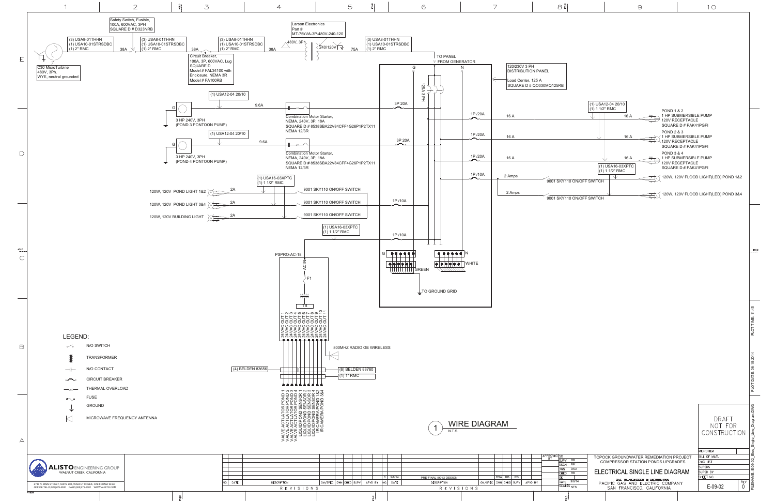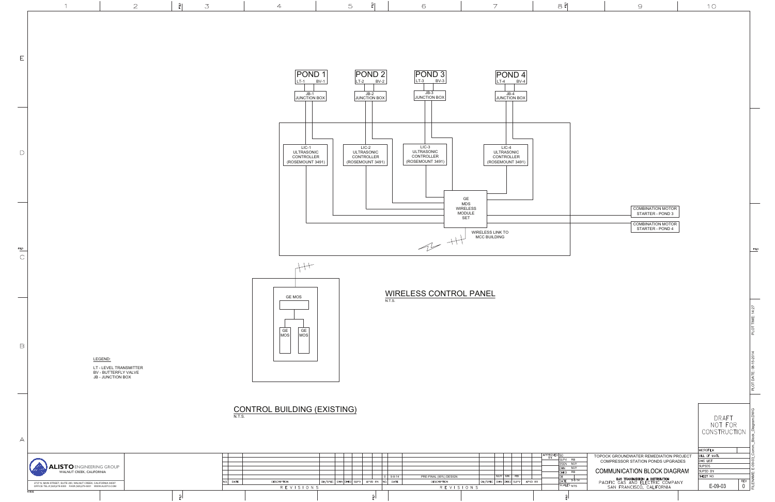

 $\frac{9}{6}$ 

링

PRE-FINAL (90%) DESIGN<br>DESCRIPTION

9-8-14

le.

|                                 | 9                                                                                                | 10                                        |                                           |
|---------------------------------|--------------------------------------------------------------------------------------------------|-------------------------------------------|-------------------------------------------|
|                                 |                                                                                                  |                                           |                                           |
|                                 |                                                                                                  |                                           |                                           |
|                                 |                                                                                                  |                                           |                                           |
|                                 |                                                                                                  |                                           |                                           |
|                                 |                                                                                                  |                                           |                                           |
|                                 |                                                                                                  |                                           |                                           |
|                                 |                                                                                                  |                                           |                                           |
|                                 |                                                                                                  |                                           |                                           |
|                                 |                                                                                                  |                                           |                                           |
|                                 |                                                                                                  |                                           |                                           |
|                                 |                                                                                                  |                                           |                                           |
|                                 |                                                                                                  |                                           |                                           |
|                                 |                                                                                                  |                                           |                                           |
|                                 |                                                                                                  |                                           |                                           |
|                                 | <b>COMBINATION MOTOR</b>                                                                         |                                           |                                           |
|                                 | STARTER - POND 3<br><b>COMBINATION MOTOR</b>                                                     |                                           |                                           |
|                                 | STARTER - POND 4                                                                                 |                                           |                                           |
|                                 |                                                                                                  |                                           | FOLD                                      |
|                                 |                                                                                                  |                                           |                                           |
|                                 |                                                                                                  |                                           |                                           |
|                                 |                                                                                                  |                                           |                                           |
|                                 |                                                                                                  |                                           |                                           |
|                                 |                                                                                                  |                                           |                                           |
|                                 |                                                                                                  |                                           | PLOT TIME: 14:27                          |
|                                 |                                                                                                  |                                           |                                           |
|                                 |                                                                                                  |                                           |                                           |
|                                 |                                                                                                  |                                           |                                           |
|                                 |                                                                                                  |                                           | PLOT DATE: 08-15-2014                     |
|                                 |                                                                                                  |                                           |                                           |
|                                 |                                                                                                  |                                           |                                           |
|                                 |                                                                                                  | DRAFT<br>NOT FOR                          |                                           |
|                                 |                                                                                                  | CONSTRUCTION                              |                                           |
|                                 |                                                                                                  | MICROFILM                                 | FILENAME: E-09-03_Comm._Block_Diagram.DWG |
| RB<br>MJY                       | TOPOCK GROUNDWATER REMEDIATION PROJECT<br>COMPRESSOR STATION PONDS UPGRADES                      | BILL OF MATL<br>DWG LIST<br><b>SUPSDS</b> |                                           |
| <b>MJY</b><br>RB                | COMMUNICATION BLOCK DIAGRAM                                                                      | SUPSD BY<br>SHEET NO.                     |                                           |
| $9 - 8 - 14$<br>S<br><b>NTS</b> | GAS TRANSMISSION & DISTRIBUTION<br>PACIFIC GAS AND ELECTRIC COMPANY<br>SAN FRANCISCO, CALIFORNIA | E-09-03                                   | <b>REV</b><br>0                           |
|                                 |                                                                                                  |                                           |                                           |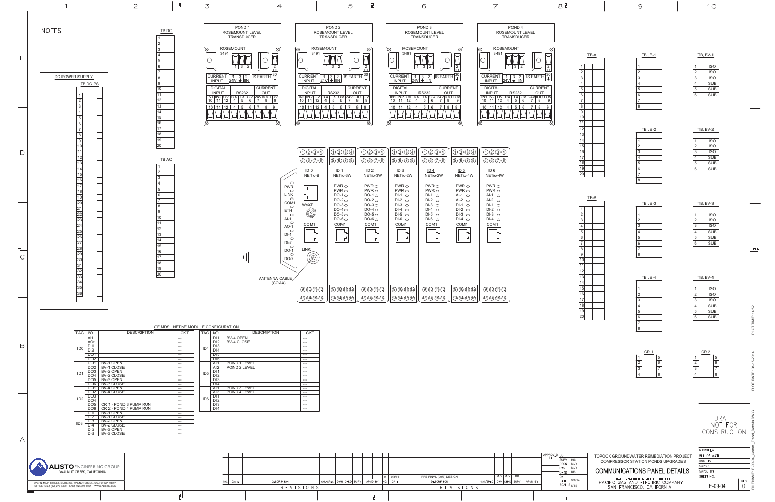|                | TB JB-1 |  |
|----------------|---------|--|
| 1              |         |  |
|                |         |  |
| $\frac{2}{3}$  |         |  |
|                |         |  |
| $\frac{4}{5}$  |         |  |
| $\overline{6}$ |         |  |
| $\overline{7}$ |         |  |
| 8              |         |  |
|                |         |  |
|                |         |  |

|                             | TB JB-2 |
|-----------------------------|---------|
|                             |         |
| 1                           |         |
| 2                           |         |
| $\overline{3}$              |         |
|                             |         |
| $\frac{4}{5}$ $\frac{5}{6}$ |         |
|                             |         |
| $\overline{7}$              |         |
| 8                           |         |

|                             | TB JB-3 |  |  |
|-----------------------------|---------|--|--|
|                             |         |  |  |
| 1                           |         |  |  |
| $\frac{2}{3}$               |         |  |  |
|                             |         |  |  |
|                             |         |  |  |
| $\frac{4}{5}$ $\frac{5}{6}$ |         |  |  |
|                             |         |  |  |
| $\overline{7}$              |         |  |  |
| $\overline{8}$              |         |  |  |

|                             | TB JB-4 |  |
|-----------------------------|---------|--|
|                             |         |  |
| 1                           |         |  |
| $\bar{2}$                   |         |  |
| $\overline{3}$              |         |  |
|                             |         |  |
| $\frac{4}{5}$ $\frac{5}{6}$ |         |  |
|                             |         |  |
| $\overline{7}$              |         |  |
| 8                           |         |  |

| <b>TB, BV-1</b>                                                                                                                                |                     |
|------------------------------------------------------------------------------------------------------------------------------------------------|---------------------|
| <b>ISO</b><br>1<br>$\overline{2}$<br>$\overline{\text{SO}}$<br>3<br><b>ISO</b><br>4<br><b>SUB</b><br>5<br><b>SUB</b><br><b>SUB</b><br>6        |                     |
| <b>TB, BV-2</b>                                                                                                                                |                     |
| 1<br><b>ISO</b>                                                                                                                                |                     |
| $\overline{2}$<br><b>ISO</b>                                                                                                                   |                     |
| 3<br><b>ISO</b>                                                                                                                                |                     |
| 4<br><b>SUB</b>                                                                                                                                |                     |
| $\overline{5}$<br><b>SUB</b><br>6<br><b>SUB</b>                                                                                                |                     |
| <b>TB, BV-3</b><br>1<br><b>ISO</b><br>$\overline{2}$<br><b>ISO</b><br>3<br><b>ISO</b><br><b>SUB</b><br>4<br>5<br><b>SUB</b><br><b>SUB</b><br>6 | FQ                  |
| <b>TB, BV-4</b><br>1<br><b>ISO</b><br>$\overline{2}$<br>ISO<br>3<br><b>ISO</b><br>4<br><b>SUB</b>                                              |                     |
| 5<br><b>SUB</b><br>6<br><b>SUB</b>                                                                                                             | TIME: 14:52<br>PLOT |



|                           | TB-B |  |
|---------------------------|------|--|
|                           |      |  |
| 1                         |      |  |
| $\overline{2}$            |      |  |
| $\overline{\overline{3}}$ |      |  |
| $\overline{4}$            |      |  |
| $\overline{5}$            |      |  |
| 6                         |      |  |
| 7                         |      |  |
| 8                         |      |  |
| 9                         |      |  |
| $\overline{10}$           |      |  |
| $\overline{11}$           |      |  |
| $\overline{1}2$           |      |  |
| $\overline{13}$           |      |  |
| $\overline{14}$           |      |  |
| $\overline{15}$           |      |  |
| $\overline{16}$           |      |  |
| $\overline{17}$           |      |  |
| $\overline{18}$           |      |  |
| $\overline{19}$           |      |  |
| 20                        |      |  |



- 3

 $\frac{9}{5}$ 

 $\frac{9}{2}$ 

| ×<br>× |  |
|--------|--|
|        |  |
|        |  |

 $10$ 

|   | СR |   |
|---|----|---|
|   |    | 5 |
| 2 |    | 6 |
| 3 |    |   |
|   |    | 8 |



|                                        | DRAFT<br>NOT FOR<br>CONSTRUCTION |            |
|----------------------------------------|----------------------------------|------------|
|                                        | <b>MICROFILM</b>                 |            |
| TOPOCK GROUNDWATER REMEDIATION PROJECT | BILL OF MATL                     |            |
| COMPRESSOR STATION PONDS UPGRADES      | DWG LIST                         |            |
|                                        | <b>SUPSDS</b>                    |            |
| COMMUNICATIONS PANEL DETAILS           | SUPSD BY                         |            |
| GAS TRANSMISSION & DISTRIBUTION        | SHFFT NO.                        |            |
| PACIFIC GAS AND ELECTRIC COMPANY       |                                  | <b>REV</b> |
| SAN FRANCISCO, CALIFORNIA              | $E-09-04$                        |            |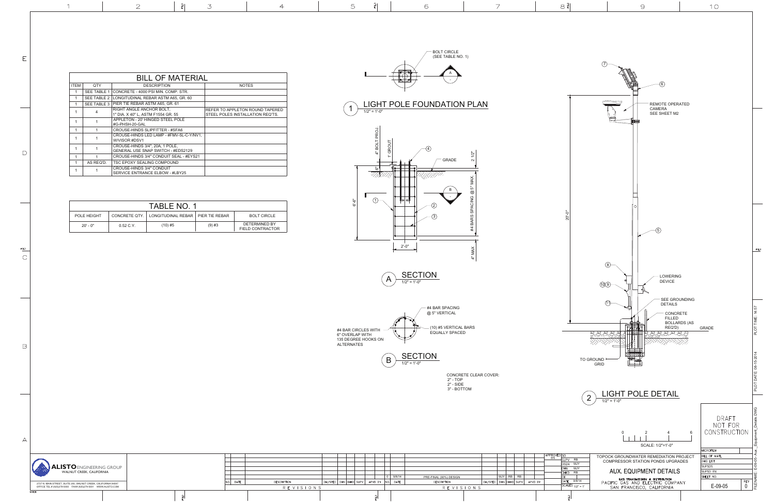20'-0"





CONCRETE CLEAR COVER: 2" - TOP 2" - SIDE3" - BOTTOM





 $1/2" = 1'-0"$ 

| <b>BILL OF MATERIAL</b> |             |                                                                       |                                                                     |  |  |
|-------------------------|-------------|-----------------------------------------------------------------------|---------------------------------------------------------------------|--|--|
| <b>ITEM</b>             | QTY         | <b>DESCRIPTION</b>                                                    | <b>NOTES</b>                                                        |  |  |
|                         | SEE TABLE 1 | CONCRETE - 4000 PSI MIN, COMP. STR.                                   |                                                                     |  |  |
| $\mathbf{1}$            | SEE TABLE 2 | LONGITUDINAL REBAR ASTM A65, GR. 60                                   |                                                                     |  |  |
|                         | SEE TABLE 3 | PIER TIE REBAR ASTM A65, GR. 61                                       |                                                                     |  |  |
|                         | 4           | RIGHT ANGLE ANCHOR BOLT,<br>1" DIA. X 40" L, ASTM F1554 GR. 55        | REFER TO APPLETON ROUND TAPERED<br>STEEL POLES INSTALLATION REQ'TS. |  |  |
| 1                       |             | APPLETON - 20' HINGED STEEL POLE<br>#G-PHSH-20-GAL                    |                                                                     |  |  |
| 1                       |             | CROUSE-HINDS SLIPFITTER - #SFA6                                       |                                                                     |  |  |
|                         |             | CROUSE-HINDS LED LAMP - #FMV-5L-C-Y/NV1,<br>W/VISOR #DSV1             |                                                                     |  |  |
|                         |             | CROUSE-HINDS 3/4", 20A, 1 POLE.<br>GENERAL USE SNAP SWITCH - #EDS2129 |                                                                     |  |  |
| 1                       | 1           | CROUSE-HINDS 3/4" CONDUIT SEAL - #EYS21                               |                                                                     |  |  |
|                         | AS REQ'D.   | TSC EPOXY SEALING COMPOUND                                            |                                                                     |  |  |
|                         |             | CROUSE-HINDS 3/4" CONDUIT<br>SERVICE ENTRANCE ELBOW - #LBY25          |                                                                     |  |  |





 $\forall$ 



| <b>TABLE NO. 1</b> |           |                                                     |          |                                   |  |  |  |
|--------------------|-----------|-----------------------------------------------------|----------|-----------------------------------|--|--|--|
| POLE HEIGHT        |           | CONCRETE QTY. I LONGITUDINAL REBAR I PIER TIE REBAR |          | <b>BOLT CIRCLE</b>                |  |  |  |
| $20'$ - $0"$       | 0.52 C.Y. | $(10)$ #5                                           | $(9)$ #3 | DETERMINED BY<br>FIELD CONTRACTOR |  |  |  |